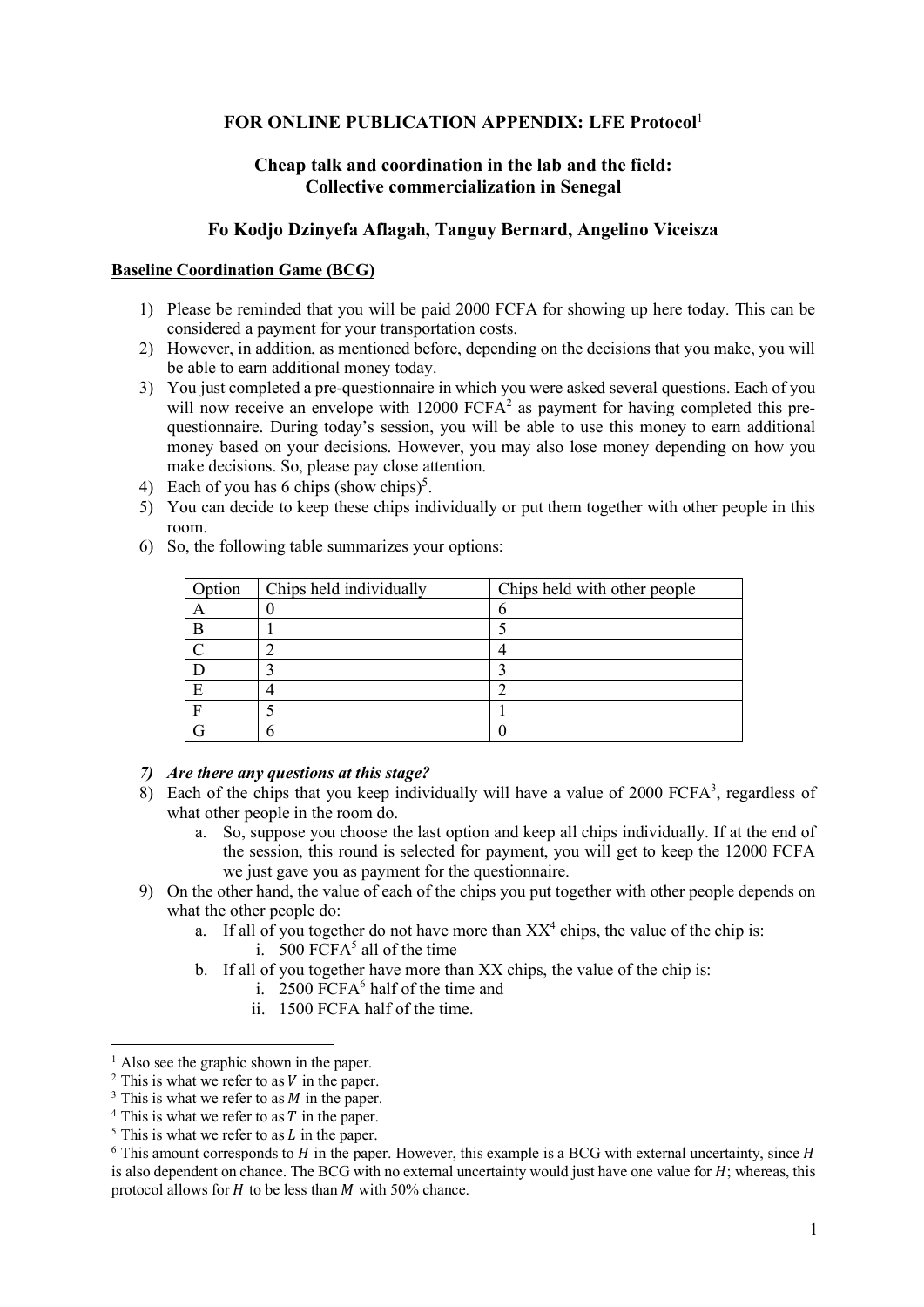## **FOR ONLINE PUBLICATION APPENDIX: LFE Protocol**<sup>1</sup>

# **Cheap talk and coordination in the lab and the field: Collective commercialization in Senegal**

## **Fo Kodjo Dzinyefa Aflagah, Tanguy Bernard, Angelino Viceisza**

### **Baseline Coordination Game (BCG)**

- 1) Please be reminded that you will be paid 2000 FCFA for showing up here today. This can be considered a payment for your transportation costs.
- 2) However, in addition, as mentioned before, depending on the decisions that you make, you will be able to earn additional money today.
- 3) You just completed a pre-questionnaire in which you were asked several questions. Each of you will now receive an envelope with 12000 FCFA<sup>2</sup> as payment for having completed this prequestionnaire. During today's session, you will be able to use this money to earn additional money based on your decisions. However, you may also lose money depending on how you make decisions. So, please pay close attention.
- 4) Each of you has 6 chips (show chips)<sup>5</sup>.
- 5) You can decide to keep these chips individually or put them together with other people in this room.
- 6) So, the following table summarizes your options:

| Option | Chips held individually | Chips held with other people |  |
|--------|-------------------------|------------------------------|--|
|        |                         |                              |  |
|        |                         |                              |  |
|        |                         |                              |  |
|        |                         |                              |  |
|        |                         |                              |  |
|        |                         |                              |  |
|        |                         |                              |  |

## *7) Are there any questions at this stage?*

- 8) Each of the chips that you keep individually will have a value of  $2000$  FCFA<sup>3</sup>, regardless of what other people in the room do.
	- a. So, suppose you choose the last option and keep all chips individually. If at the end of the session, this round is selected for payment, you will get to keep the 12000 FCFA we just gave you as payment for the questionnaire.
- 9) On the other hand, the value of each of the chips you put together with other people depends on what the other people do:
	- a. If all of you together do not have more than  $XX^4$  chips, the value of the chip is: i. 500 FCF $A<sup>5</sup>$  all of the time
	- b. If all of you together have more than XX chips, the value of the chip is:
		- i. 2500 FCF $A<sup>6</sup>$  half of the time and
		- ii. 1500 FCFA half of the time.

 $\overline{a}$ 

<sup>&</sup>lt;sup>1</sup> Also see the graphic shown in the paper.<br>
<sup>2</sup> This is what we refer to as *V* in the paper.<br>
<sup>3</sup> This is what we refer to as *N* in the paper.<br>
<sup>4</sup> This is what we refer to as *T* in the paper.<br>
<sup>5</sup> This is what we re is also dependent on chance. The BCG with no external uncertainty would just have one value for  $H$ : whereas, this protocol allows for  $H$  to be less than  $M$  with 50% chance.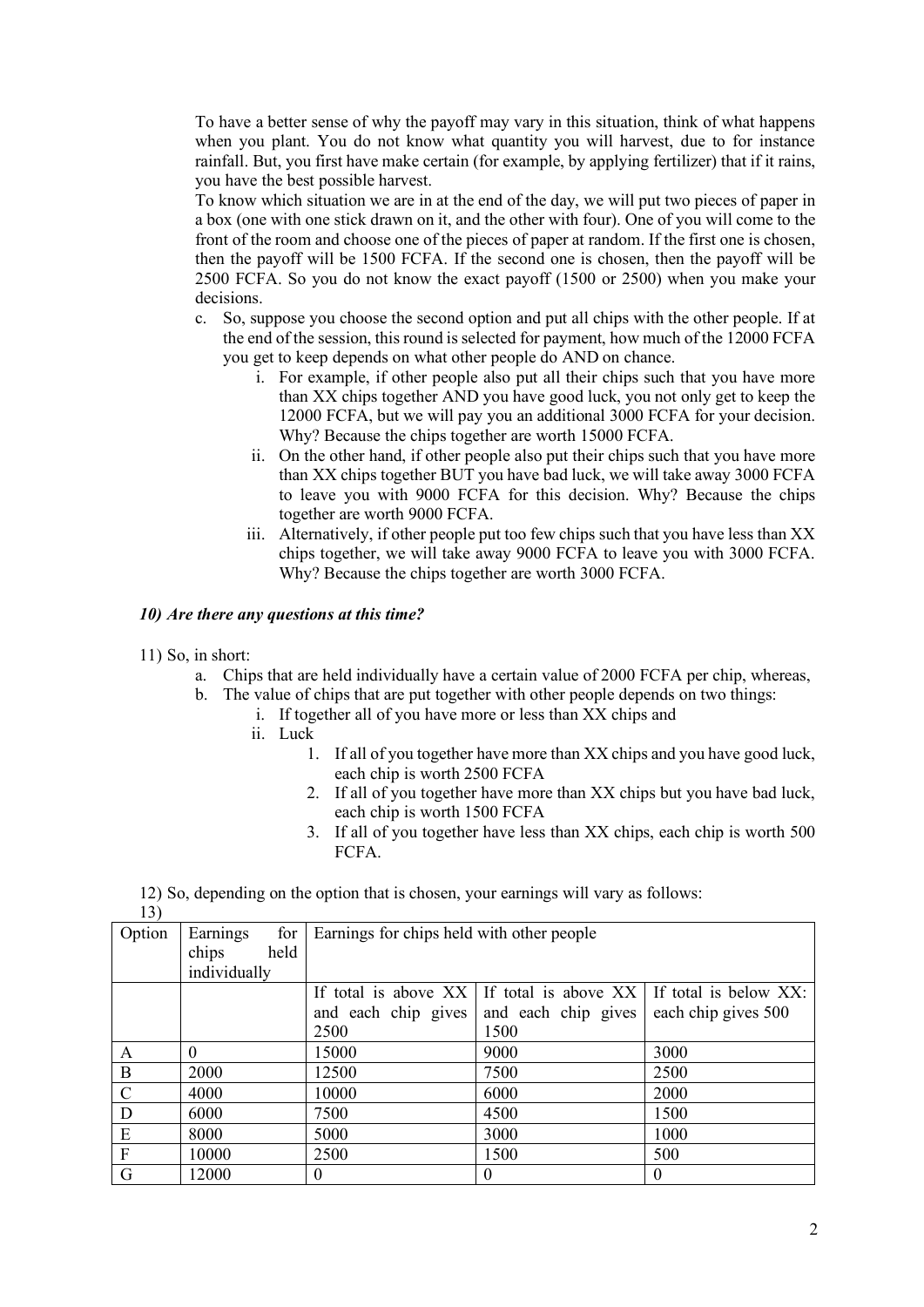To have a better sense of why the payoff may vary in this situation, think of what happens when you plant. You do not know what quantity you will harvest, due to for instance rainfall. But, you first have make certain (for example, by applying fertilizer) that if it rains, you have the best possible harvest.

To know which situation we are in at the end of the day, we will put two pieces of paper in a box (one with one stick drawn on it, and the other with four). One of you will come to the front of the room and choose one of the pieces of paper at random. If the first one is chosen, then the payoff will be 1500 FCFA. If the second one is chosen, then the payoff will be 2500 FCFA. So you do not know the exact payoff (1500 or 2500) when you make your decisions.

- c. So, suppose you choose the second option and put all chips with the other people. If at the end of the session, this round is selected for payment, how much of the 12000 FCFA you get to keep depends on what other people do AND on chance.
	- i. For example, if other people also put all their chips such that you have more than XX chips together AND you have good luck, you not only get to keep the 12000 FCFA, but we will pay you an additional 3000 FCFA for your decision. Why? Because the chips together are worth 15000 FCFA.
	- ii. On the other hand, if other people also put their chips such that you have more than XX chips together BUT you have bad luck, we will take away 3000 FCFA to leave you with 9000 FCFA for this decision. Why? Because the chips together are worth 9000 FCFA.
	- iii. Alternatively, if other people put too few chips such that you have less than XX chips together, we will take away 9000 FCFA to leave you with 3000 FCFA. Why? Because the chips together are worth 3000 FCFA.

### *10) Are there any questions at this time?*

- 11) So, in short:
	- a. Chips that are held individually have a certain value of 2000 FCFA per chip, whereas,
	- b. The value of chips that are put together with other people depends on two things:
		- i. If together all of you have more or less than XX chips and
		- ii. Luck
			- 1. If all of you together have more than XX chips and you have good luck, each chip is worth 2500 FCFA
			- 2. If all of you together have more than XX chips but you have bad luck, each chip is worth 1500 FCFA
			- 3. If all of you together have less than XX chips, each chip is worth 500 FCFA.

12) So, depending on the option that is chosen, your earnings will vary as follows:

| ×<br>۰. |
|---------|
|---------|

| 1 J J         |                 |                                           |                                                                     |                     |
|---------------|-----------------|-------------------------------------------|---------------------------------------------------------------------|---------------------|
| Option        | for<br>Earnings | Earnings for chips held with other people |                                                                     |                     |
|               | held<br>chips   |                                           |                                                                     |                     |
|               | individually    |                                           |                                                                     |                     |
|               |                 |                                           | If total is above $XX$ If total is above $XX$ If total is below XX: |                     |
|               |                 | and each chip gives                       | and each chip gives                                                 | each chip gives 500 |
|               |                 | 2500                                      | 1500                                                                |                     |
| A             | $\Omega$        | 15000                                     | 9000                                                                | 3000                |
| $\bf{B}$      | 2000            | 12500                                     | 7500                                                                | 2500                |
| $\mathcal{C}$ | 4000            | 10000                                     | 6000                                                                | 2000                |
| D             | 6000            | 7500                                      | 4500                                                                | 1500                |
| E             | 8000            | 5000                                      | 3000                                                                | 1000                |
| F             | 10000           | 2500                                      | 1500                                                                | 500                 |
| G             | 12000           | $\theta$                                  | $\theta$                                                            | $\theta$            |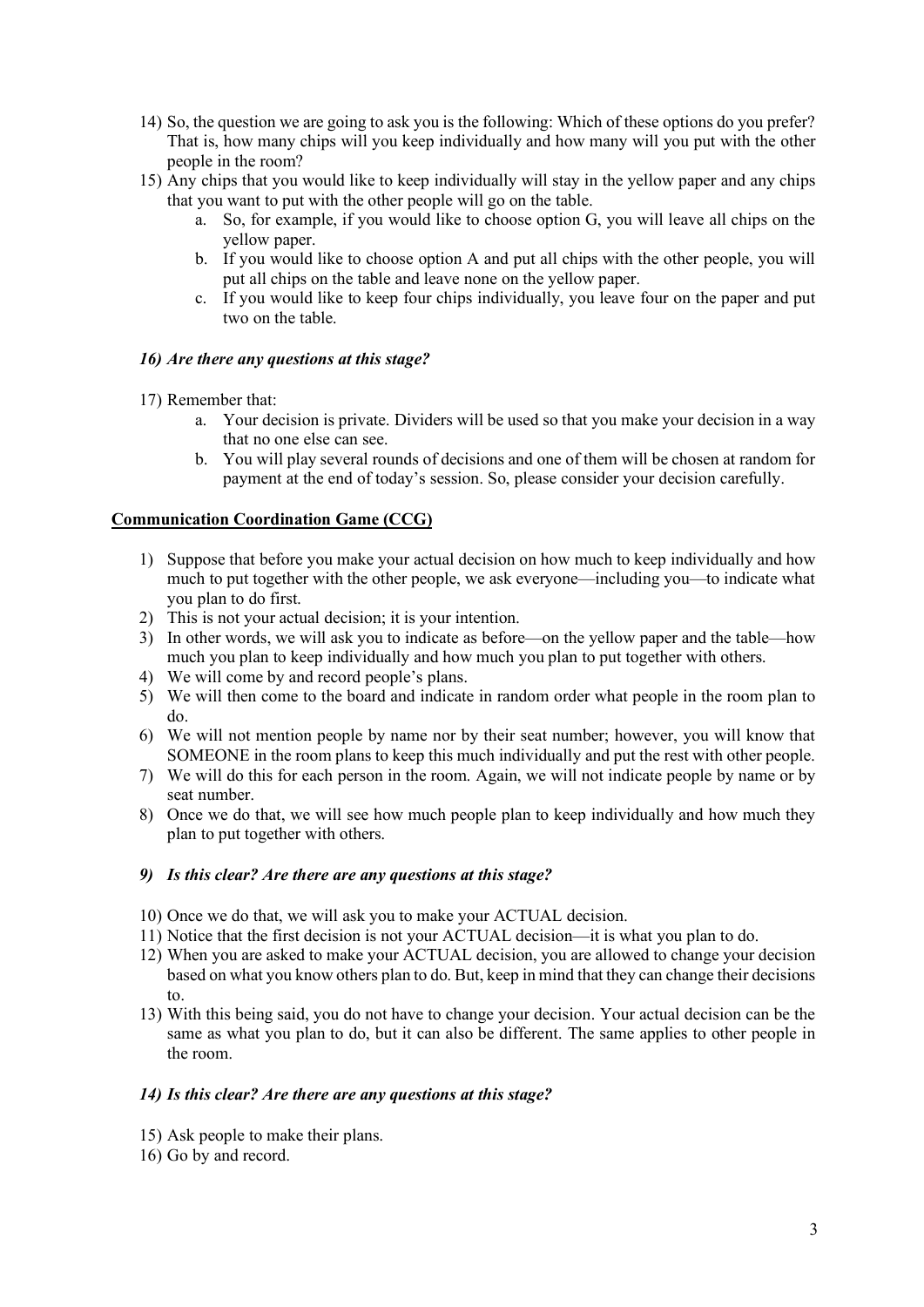- 14) So, the question we are going to ask you is the following: Which of these options do you prefer? That is, how many chips will you keep individually and how many will you put with the other people in the room?
- 15) Any chips that you would like to keep individually will stay in the yellow paper and any chips that you want to put with the other people will go on the table.
	- a. So, for example, if you would like to choose option G, you will leave all chips on the yellow paper.
	- b. If you would like to choose option A and put all chips with the other people, you will put all chips on the table and leave none on the yellow paper.
	- c. If you would like to keep four chips individually, you leave four on the paper and put two on the table.

### *16) Are there any questions at this stage?*

17) Remember that:

- a. Your decision is private. Dividers will be used so that you make your decision in a way that no one else can see.
- b. You will play several rounds of decisions and one of them will be chosen at random for payment at the end of today's session. So, please consider your decision carefully.

### **Communication Coordination Game (CCG)**

- 1) Suppose that before you make your actual decision on how much to keep individually and how much to put together with the other people, we ask everyone—including you—to indicate what you plan to do first.
- 2) This is not your actual decision; it is your intention.
- 3) In other words, we will ask you to indicate as before—on the yellow paper and the table—how much you plan to keep individually and how much you plan to put together with others.
- 4) We will come by and record people's plans.
- 5) We will then come to the board and indicate in random order what people in the room plan to do.
- 6) We will not mention people by name nor by their seat number; however, you will know that SOMEONE in the room plans to keep this much individually and put the rest with other people.
- 7) We will do this for each person in the room. Again, we will not indicate people by name or by seat number.
- 8) Once we do that, we will see how much people plan to keep individually and how much they plan to put together with others.

#### *9) Is this clear? Are there are any questions at this stage?*

- 10) Once we do that, we will ask you to make your ACTUAL decision.
- 11) Notice that the first decision is not your ACTUAL decision—it is what you plan to do.
- 12) When you are asked to make your ACTUAL decision, you are allowed to change your decision based on what you know others plan to do. But, keep in mind that they can change their decisions to.
- 13) With this being said, you do not have to change your decision. Your actual decision can be the same as what you plan to do, but it can also be different. The same applies to other people in the room.

#### *14) Is this clear? Are there are any questions at this stage?*

- 15) Ask people to make their plans.
- 16) Go by and record.